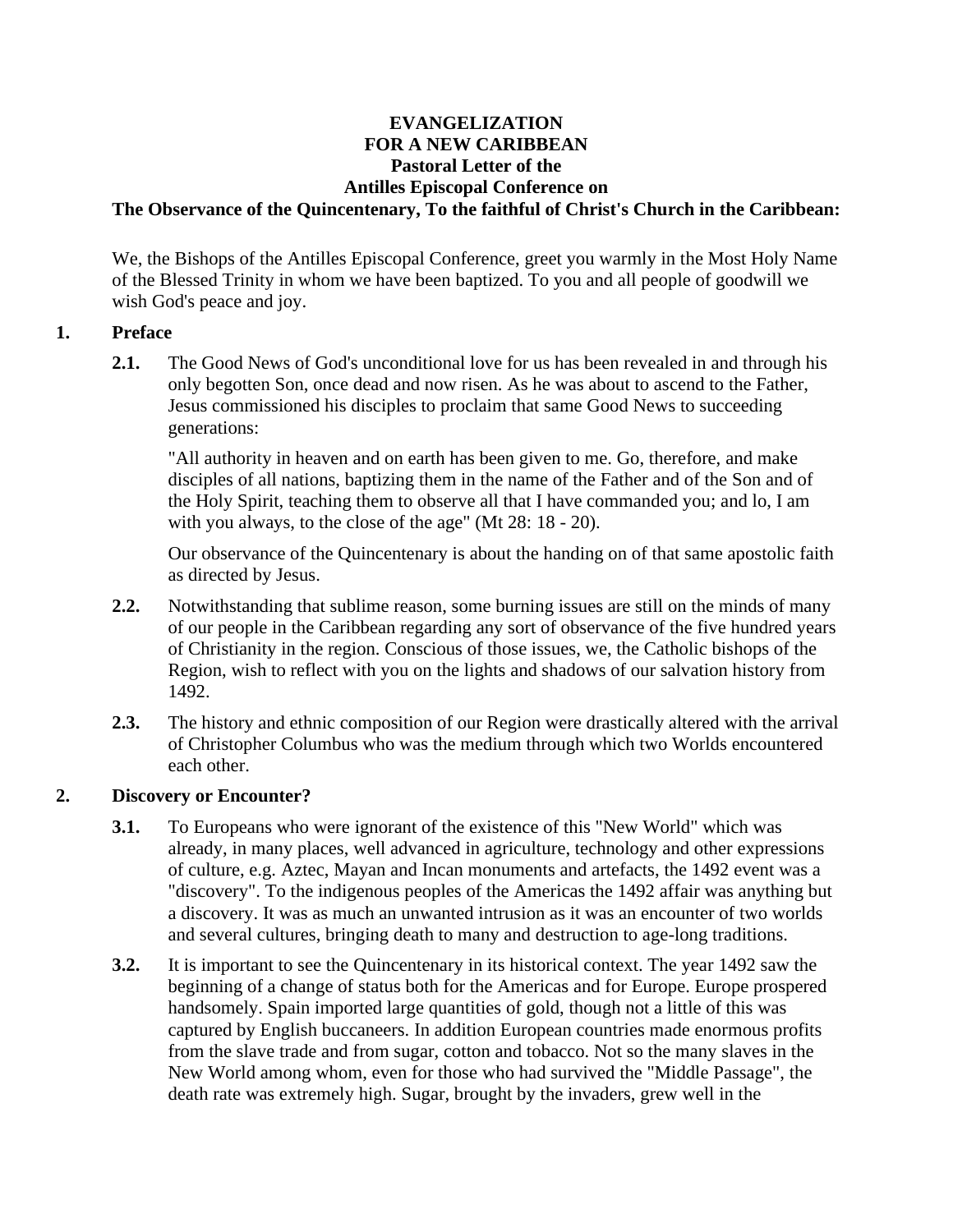#### **EVANGELIZATION FOR A NEW CARIBBEAN Pastoral Letter of the Antilles Episcopal Conference on The Observance of the Quincentenary, To the faithful of Christ's Church in the Caribbean:**

We, the Bishops of the Antilles Episcopal Conference, greet you warmly in the Most Holy Name of the Blessed Trinity in whom we have been baptized. To you and all people of goodwill we wish God's peace and joy.

#### **1. Preface**

**2.1.** The Good News of God's unconditional love for us has been revealed in and through his only begotten Son, once dead and now risen. As he was about to ascend to the Father, Jesus commissioned his disciples to proclaim that same Good News to succeeding generations:

"All authority in heaven and on earth has been given to me. Go, therefore, and make disciples of all nations, baptizing them in the name of the Father and of the Son and of the Holy Spirit, teaching them to observe all that I have commanded you; and lo, I am with you always, to the close of the age" (Mt 28: 18 - 20).

Our observance of the Quincentenary is about the handing on of that same apostolic faith as directed by Jesus.

- **2.2.** Notwithstanding that sublime reason, some burning issues are still on the minds of many of our people in the Caribbean regarding any sort of observance of the five hundred years of Christianity in the region. Conscious of those issues, we, the Catholic bishops of the Region, wish to reflect with you on the lights and shadows of our salvation history from 1492.
- **2.3.** The history and ethnic composition of our Region were drastically altered with the arrival of Christopher Columbus who was the medium through which two Worlds encountered each other.

### **2. Discovery or Encounter?**

- **3.1.** To Europeans who were ignorant of the existence of this "New World" which was already, in many places, well advanced in agriculture, technology and other expressions of culture, e.g. Aztec, Mayan and Incan monuments and artefacts, the 1492 event was a "discovery". To the indigenous peoples of the Americas the 1492 affair was anything but a discovery. It was as much an unwanted intrusion as it was an encounter of two worlds and several cultures, bringing death to many and destruction to age-long traditions.
- **3.2.** It is important to see the Quincentenary in its historical context. The year 1492 saw the beginning of a change of status both for the Americas and for Europe. Europe prospered handsomely. Spain imported large quantities of gold, though not a little of this was captured by English buccaneers. In addition European countries made enormous profits from the slave trade and from sugar, cotton and tobacco. Not so the many slaves in the New World among whom, even for those who had survived the "Middle Passage", the death rate was extremely high. Sugar, brought by the invaders, grew well in the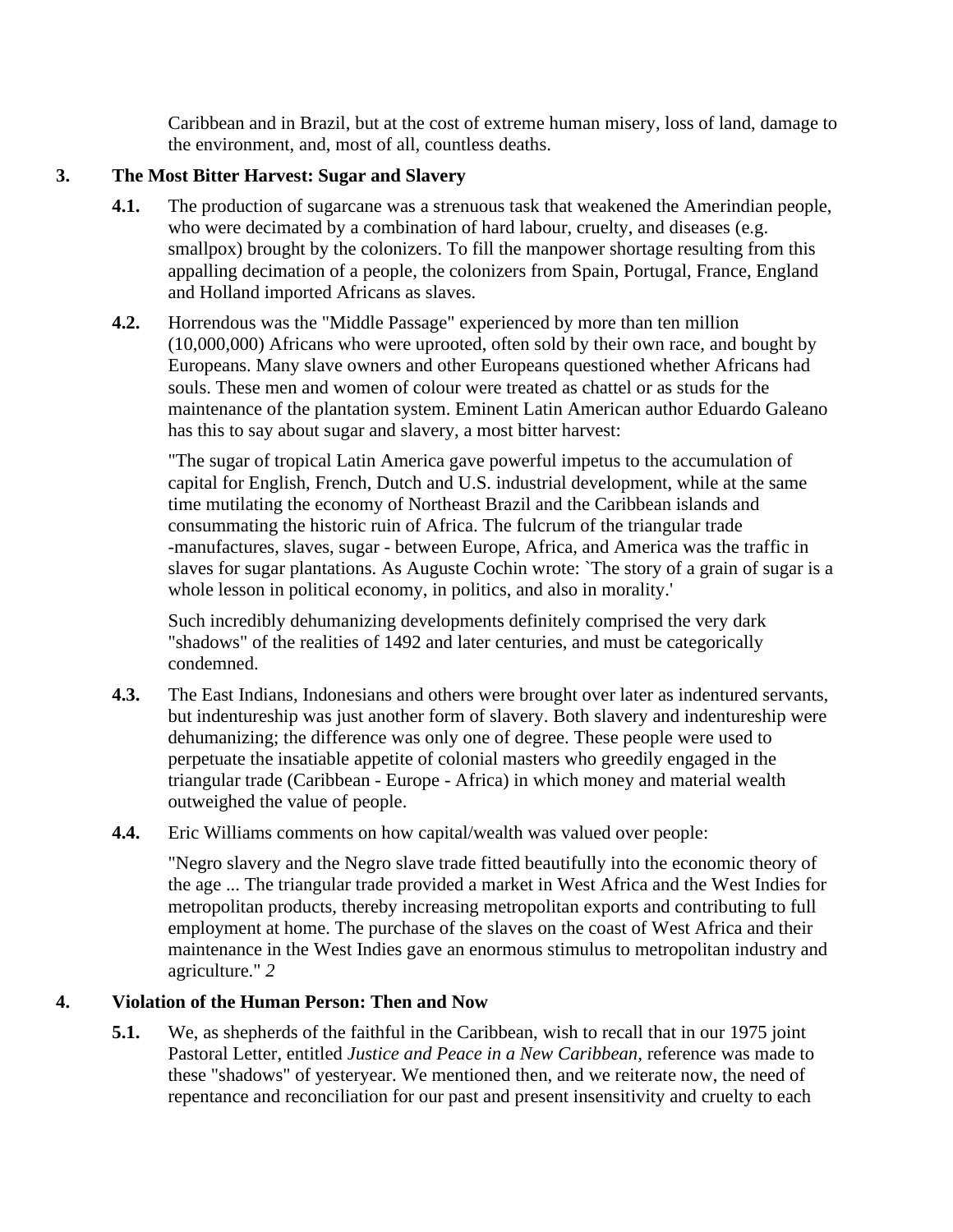Caribbean and in Brazil, but at the cost of extreme human misery, loss of land, damage to the environment, and, most of all, countless deaths.

## **3. The Most Bitter Harvest: Sugar and Slavery**

- **4.1.** The production of sugarcane was a strenuous task that weakened the Amerindian people, who were decimated by a combination of hard labour, cruelty, and diseases (e.g. smallpox) brought by the colonizers. To fill the manpower shortage resulting from this appalling decimation of a people, the colonizers from Spain, Portugal, France, England and Holland imported Africans as slaves.
- **4.2.** Horrendous was the "Middle Passage" experienced by more than ten million (10,000,000) Africans who were uprooted, often sold by their own race, and bought by Europeans. Many slave owners and other Europeans questioned whether Africans had souls. These men and women of colour were treated as chattel or as studs for the maintenance of the plantation system. Eminent Latin American author Eduardo Galeano has this to say about sugar and slavery, a most bitter harvest:

"The sugar of tropical Latin America gave powerful impetus to the accumulation of capital for English, French, Dutch and U.S. industrial development, while at the same time mutilating the economy of Northeast Brazil and the Caribbean islands and consummating the historic ruin of Africa. The fulcrum of the triangular trade -manufactures, slaves, sugar - between Europe, Africa, and America was the traffic in slaves for sugar plantations. As Auguste Cochin wrote: `The story of a grain of sugar is a whole lesson in political economy, in politics, and also in morality.'

Such incredibly dehumanizing developments definitely comprised the very dark "shadows" of the realities of 1492 and later centuries, and must be categorically condemned.

- **4.3.** The East Indians, Indonesians and others were brought over later as indentured servants, but indentureship was just another form of slavery. Both slavery and indentureship were dehumanizing; the difference was only one of degree. These people were used to perpetuate the insatiable appetite of colonial masters who greedily engaged in the triangular trade (Caribbean - Europe - Africa) in which money and material wealth outweighed the value of people.
- **4.4.** Eric Williams comments on how capital/wealth was valued over people:

"Negro slavery and the Negro slave trade fitted beautifully into the economic theory of the age ... The triangular trade provided a market in West Africa and the West Indies for metropolitan products, thereby increasing metropolitan exports and contributing to full employment at home. The purchase of the slaves on the coast of West Africa and their maintenance in the West Indies gave an enormous stimulus to metropolitan industry and agriculture." *2*

# **4. Violation of the Human Person: Then and Now**

**5.1.** We, as shepherds of the faithful in the Caribbean, wish to recall that in our 1975 joint Pastoral Letter, entitled *Justice and Peace in a New Caribbean,* reference was made to these "shadows" of yesteryear. We mentioned then, and we reiterate now, the need of repentance and reconciliation for our past and present insensitivity and cruelty to each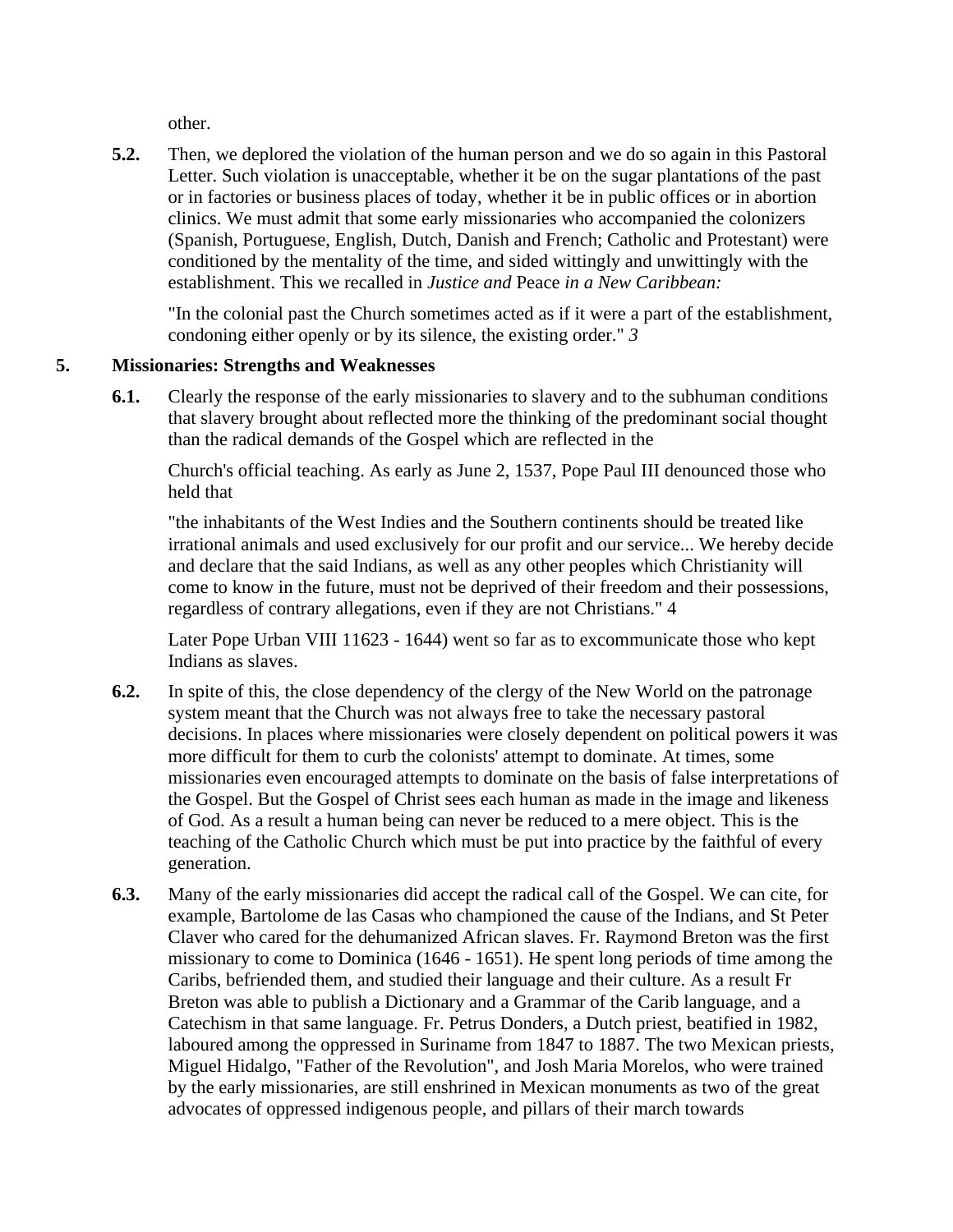other.

**5.2.** Then, we deplored the violation of the human person and we do so again in this Pastoral Letter. Such violation is unacceptable, whether it be on the sugar plantations of the past or in factories or business places of today, whether it be in public offices or in abortion clinics. We must admit that some early missionaries who accompanied the colonizers (Spanish, Portuguese, English, Dutch, Danish and French; Catholic and Protestant) were conditioned by the mentality of the time, and sided wittingly and unwittingly with the establishment. This we recalled in *Justice and* Peace *in a New Caribbean:*

"In the colonial past the Church sometimes acted as if it were a part of the establishment, condoning either openly or by its silence, the existing order." *3*

### **5. Missionaries: Strengths and Weaknesses**

**6.1.** Clearly the response of the early missionaries to slavery and to the subhuman conditions that slavery brought about reflected more the thinking of the predominant social thought than the radical demands of the Gospel which are reflected in the

Church's official teaching. As early as June 2, 1537, Pope Paul III denounced those who held that

"the inhabitants of the West Indies and the Southern continents should be treated like irrational animals and used exclusively for our profit and our service... We hereby decide and declare that the said Indians, as well as any other peoples which Christianity will come to know in the future, must not be deprived of their freedom and their possessions, regardless of contrary allegations, even if they are not Christians." 4

Later Pope Urban VIII 11623 - 1644) went so far as to excommunicate those who kept Indians as slaves.

- **6.2.** In spite of this, the close dependency of the clergy of the New World on the patronage system meant that the Church was not always free to take the necessary pastoral decisions. In places where missionaries were closely dependent on political powers it was more difficult for them to curb the colonists' attempt to dominate. At times, some missionaries even encouraged attempts to dominate on the basis of false interpretations of the Gospel. But the Gospel of Christ sees each human as made in the image and likeness of God. As a result a human being can never be reduced to a mere object. This is the teaching of the Catholic Church which must be put into practice by the faithful of every generation.
- **6.3.** Many of the early missionaries did accept the radical call of the Gospel. We can cite, for example, Bartolome de las Casas who championed the cause of the Indians, and St Peter Claver who cared for the dehumanized African slaves. Fr. Raymond Breton was the first missionary to come to Dominica (1646 - 1651). He spent long periods of time among the Caribs, befriended them, and studied their language and their culture. As a result Fr Breton was able to publish a Dictionary and a Grammar of the Carib language, and a Catechism in that same language. Fr. Petrus Donders, a Dutch priest, beatified in 1982, laboured among the oppressed in Suriname from 1847 to 1887. The two Mexican priests, Miguel Hidalgo, "Father of the Revolution", and Josh Maria Morelos, who were trained by the early missionaries, are still enshrined in Mexican monuments as two of the great advocates of oppressed indigenous people, and pillars of their march towards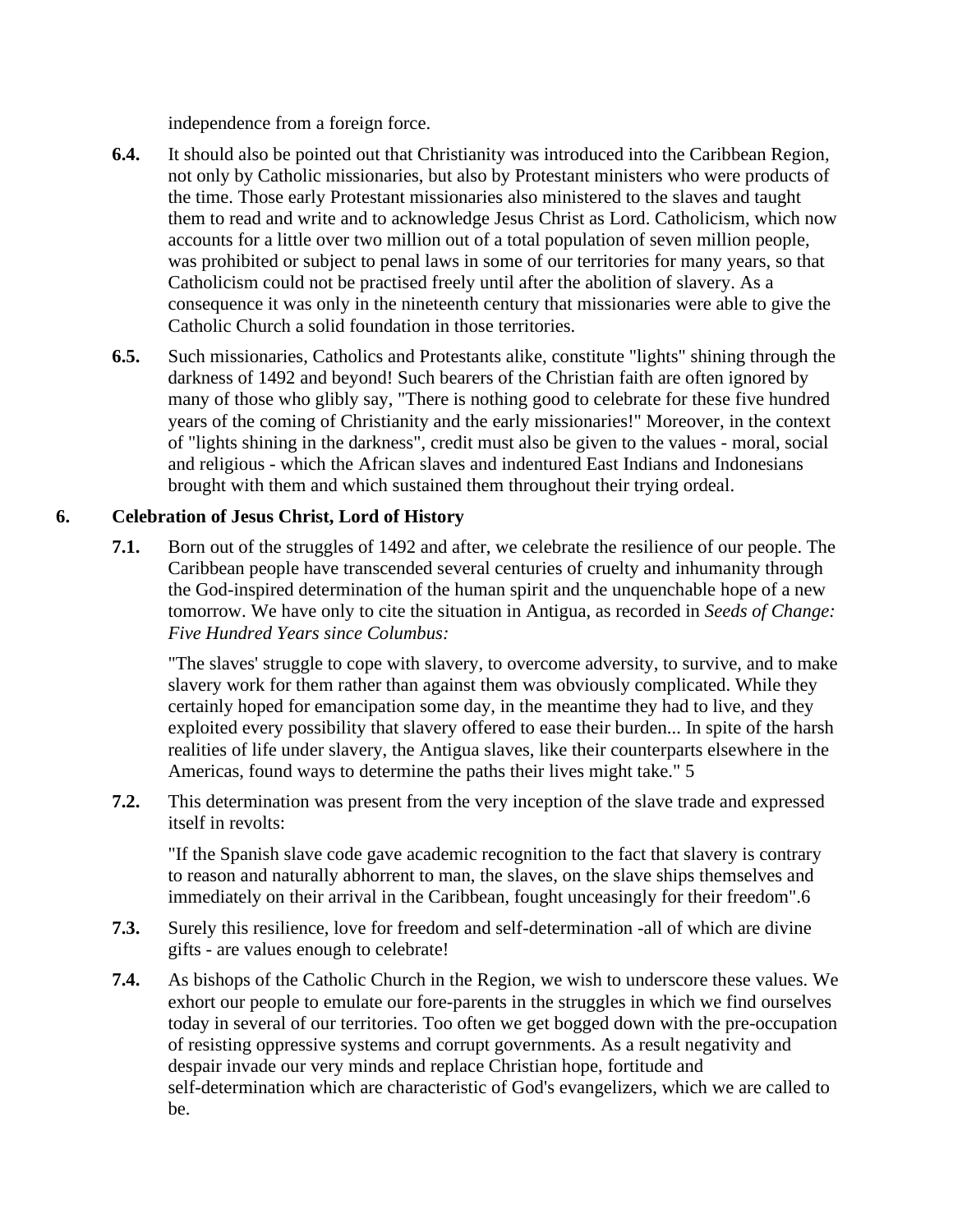independence from a foreign force.

- **6.4.** It should also be pointed out that Christianity was introduced into the Caribbean Region, not only by Catholic missionaries, but also by Protestant ministers who were products of the time. Those early Protestant missionaries also ministered to the slaves and taught them to read and write and to acknowledge Jesus Christ as Lord. Catholicism, which now accounts for a little over two million out of a total population of seven million people, was prohibited or subject to penal laws in some of our territories for many years, so that Catholicism could not be practised freely until after the abolition of slavery. As a consequence it was only in the nineteenth century that missionaries were able to give the Catholic Church a solid foundation in those territories.
- **6.5.** Such missionaries, Catholics and Protestants alike, constitute "lights" shining through the darkness of 1492 and beyond! Such bearers of the Christian faith are often ignored by many of those who glibly say, "There is nothing good to celebrate for these five hundred years of the coming of Christianity and the early missionaries!" Moreover, in the context of "lights shining in the darkness", credit must also be given to the values - moral, social and religious - which the African slaves and indentured East Indians and Indonesians brought with them and which sustained them throughout their trying ordeal.

## **6. Celebration of Jesus Christ, Lord of History**

**7.1.** Born out of the struggles of 1492 and after, we celebrate the resilience of our people. The Caribbean people have transcended several centuries of cruelty and inhumanity through the God-inspired determination of the human spirit and the unquenchable hope of a new tomorrow. We have only to cite the situation in Antigua, as recorded in *Seeds of Change: Five Hundred Years since Columbus:*

"The slaves' struggle to cope with slavery, to overcome adversity, to survive, and to make slavery work for them rather than against them was obviously complicated. While they certainly hoped for emancipation some day, in the meantime they had to live, and they exploited every possibility that slavery offered to ease their burden... In spite of the harsh realities of life under slavery, the Antigua slaves, like their counterparts elsewhere in the Americas, found ways to determine the paths their lives might take." 5

**7.2.** This determination was present from the very inception of the slave trade and expressed itself in revolts:

"If the Spanish slave code gave academic recognition to the fact that slavery is contrary to reason and naturally abhorrent to man, the slaves, on the slave ships themselves and immediately on their arrival in the Caribbean, fought unceasingly for their freedom".6

- **7.3.** Surely this resilience, love for freedom and self-determination -all of which are divine gifts - are values enough to celebrate!
- **7.4.** As bishops of the Catholic Church in the Region, we wish to underscore these values. We exhort our people to emulate our fore-parents in the struggles in which we find ourselves today in several of our territories. Too often we get bogged down with the pre-occupation of resisting oppressive systems and corrupt governments. As a result negativity and despair invade our very minds and replace Christian hope, fortitude and self-determination which are characteristic of God's evangelizers, which we are called to be.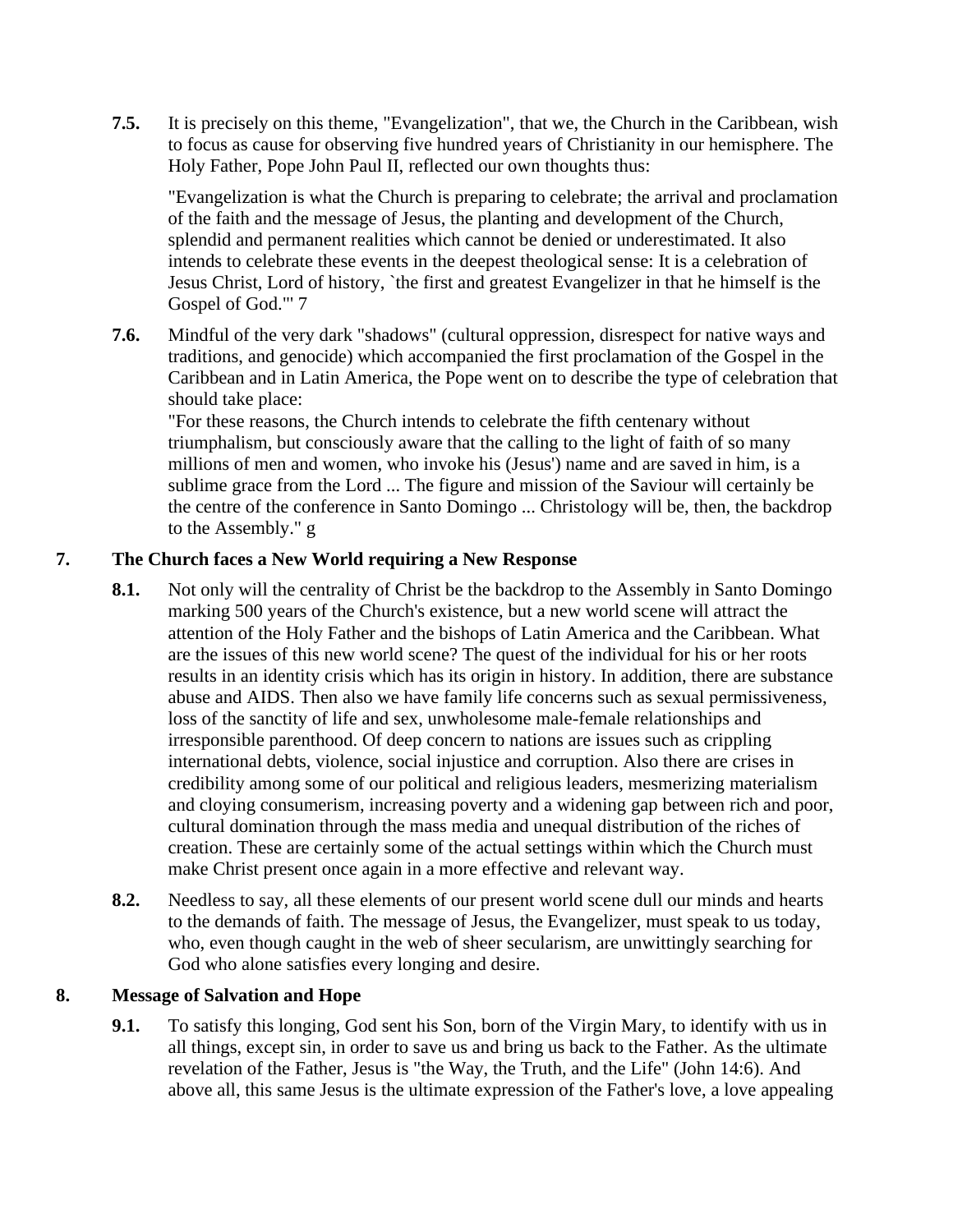**7.5.** It is precisely on this theme, "Evangelization", that we, the Church in the Caribbean, wish to focus as cause for observing five hundred years of Christianity in our hemisphere. The Holy Father, Pope John Paul II, reflected our own thoughts thus:

"Evangelization is what the Church is preparing to celebrate; the arrival and proclamation of the faith and the message of Jesus, the planting and development of the Church, splendid and permanent realities which cannot be denied or underestimated. It also intends to celebrate these events in the deepest theological sense: It is a celebration of Jesus Christ, Lord of history, `the first and greatest Evangelizer in that he himself is the Gospel of God."' 7

**7.6.** Mindful of the very dark "shadows" (cultural oppression, disrespect for native ways and traditions, and genocide) which accompanied the first proclamation of the Gospel in the Caribbean and in Latin America, the Pope went on to describe the type of celebration that should take place:

"For these reasons, the Church intends to celebrate the fifth centenary without triumphalism, but consciously aware that the calling to the light of faith of so many millions of men and women, who invoke his (Jesus') name and are saved in him, is a sublime grace from the Lord ... The figure and mission of the Saviour will certainly be the centre of the conference in Santo Domingo ... Christology will be, then, the backdrop to the Assembly." g

## **7. The Church faces a New World requiring a New Response**

- **8.1.** Not only will the centrality of Christ be the backdrop to the Assembly in Santo Domingo marking 500 years of the Church's existence, but a new world scene will attract the attention of the Holy Father and the bishops of Latin America and the Caribbean. What are the issues of this new world scene? The quest of the individual for his or her roots results in an identity crisis which has its origin in history. In addition, there are substance abuse and AIDS. Then also we have family life concerns such as sexual permissiveness, loss of the sanctity of life and sex, unwholesome male-female relationships and irresponsible parenthood. Of deep concern to nations are issues such as crippling international debts, violence, social injustice and corruption. Also there are crises in credibility among some of our political and religious leaders, mesmerizing materialism and cloying consumerism, increasing poverty and a widening gap between rich and poor, cultural domination through the mass media and unequal distribution of the riches of creation. These are certainly some of the actual settings within which the Church must make Christ present once again in a more effective and relevant way.
- **8.2.** Needless to say, all these elements of our present world scene dull our minds and hearts to the demands of faith. The message of Jesus, the Evangelizer, must speak to us today, who, even though caught in the web of sheer secularism, are unwittingly searching for God who alone satisfies every longing and desire.

### **8. Message of Salvation and Hope**

**9.1.** To satisfy this longing, God sent his Son, born of the Virgin Mary, to identify with us in all things, except sin, in order to save us and bring us back to the Father. As the ultimate revelation of the Father, Jesus is "the Way, the Truth, and the Life" (John 14:6). And above all, this same Jesus is the ultimate expression of the Father's love, a love appealing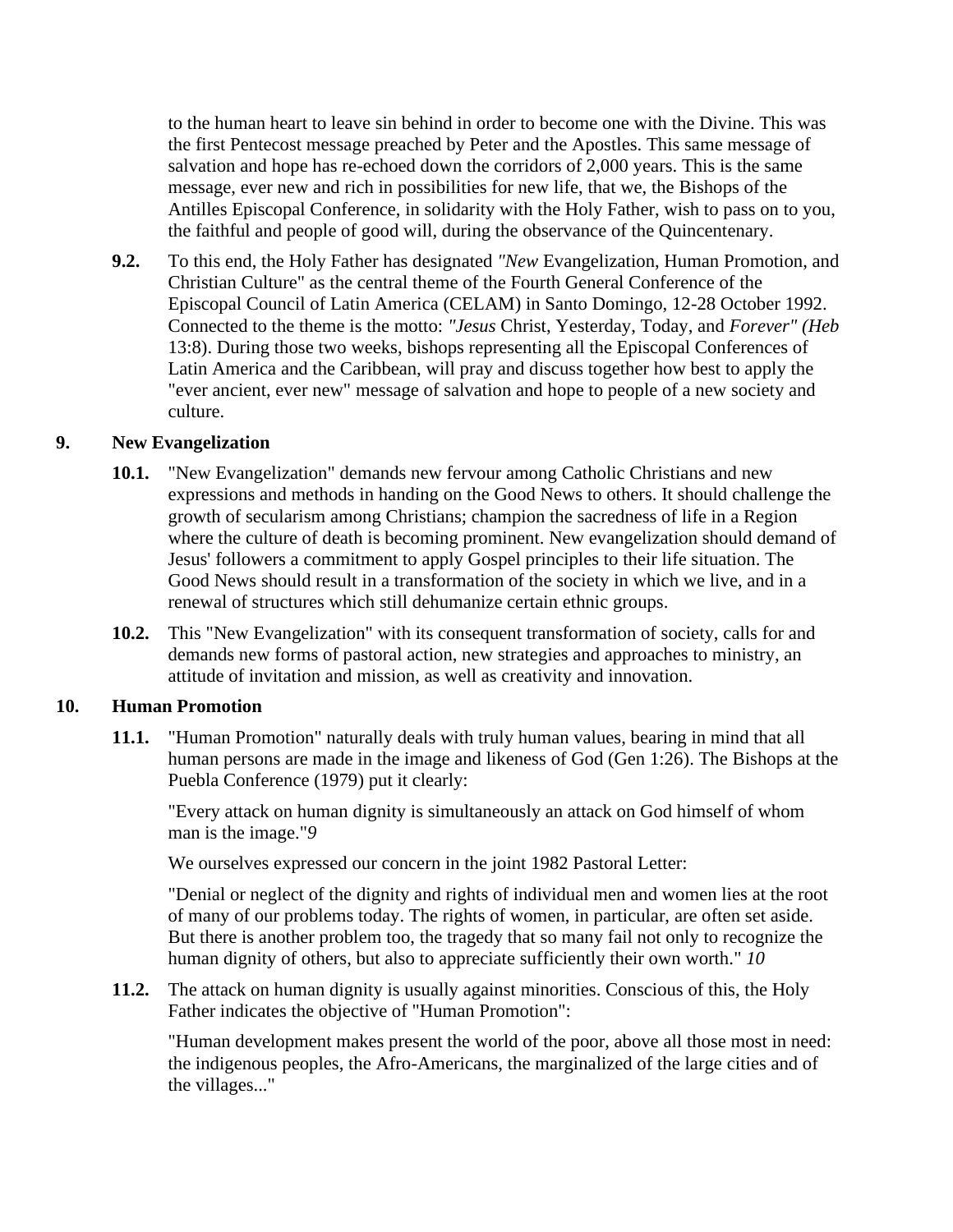to the human heart to leave sin behind in order to become one with the Divine. This was the first Pentecost message preached by Peter and the Apostles. This same message of salvation and hope has re-echoed down the corridors of 2,000 years. This is the same message, ever new and rich in possibilities for new life, that we, the Bishops of the Antilles Episcopal Conference, in solidarity with the Holy Father, wish to pass on to you, the faithful and people of good will, during the observance of the Quincentenary.

**9.2.** To this end, the Holy Father has designated *"New* Evangelization, Human Promotion, and Christian Culture" as the central theme of the Fourth General Conference of the Episcopal Council of Latin America (CELAM) in Santo Domingo, 12-28 October 1992. Connected to the theme is the motto: *"Jesus* Christ, Yesterday, Today, and *Forever" (Heb*  13:8). During those two weeks, bishops representing all the Episcopal Conferences of Latin America and the Caribbean, will pray and discuss together how best to apply the "ever ancient, ever new" message of salvation and hope to people of a new society and culture.

#### **9. New Evangelization**

- **10.1.** "New Evangelization" demands new fervour among Catholic Christians and new expressions and methods in handing on the Good News to others. It should challenge the growth of secularism among Christians; champion the sacredness of life in a Region where the culture of death is becoming prominent. New evangelization should demand of Jesus' followers a commitment to apply Gospel principles to their life situation. The Good News should result in a transformation of the society in which we live, and in a renewal of structures which still dehumanize certain ethnic groups.
- **10.2.** This "New Evangelization" with its consequent transformation of society, calls for and demands new forms of pastoral action, new strategies and approaches to ministry, an attitude of invitation and mission, as well as creativity and innovation.

#### **10. Human Promotion**

**11.1.** "Human Promotion" naturally deals with truly human values, bearing in mind that all human persons are made in the image and likeness of God (Gen 1:26). The Bishops at the Puebla Conference (1979) put it clearly:

"Every attack on human dignity is simultaneously an attack on God himself of whom man is the image."*9*

We ourselves expressed our concern in the joint 1982 Pastoral Letter:

"Denial or neglect of the dignity and rights of individual men and women lies at the root of many of our problems today. The rights of women, in particular, are often set aside. But there is another problem too, the tragedy that so many fail not only to recognize the human dignity of others, but also to appreciate sufficiently their own worth." *10*

**11.2.** The attack on human dignity is usually against minorities. Conscious of this, the Holy Father indicates the objective of "Human Promotion":

"Human development makes present the world of the poor, above all those most in need: the indigenous peoples, the Afro-Americans, the marginalized of the large cities and of the villages..."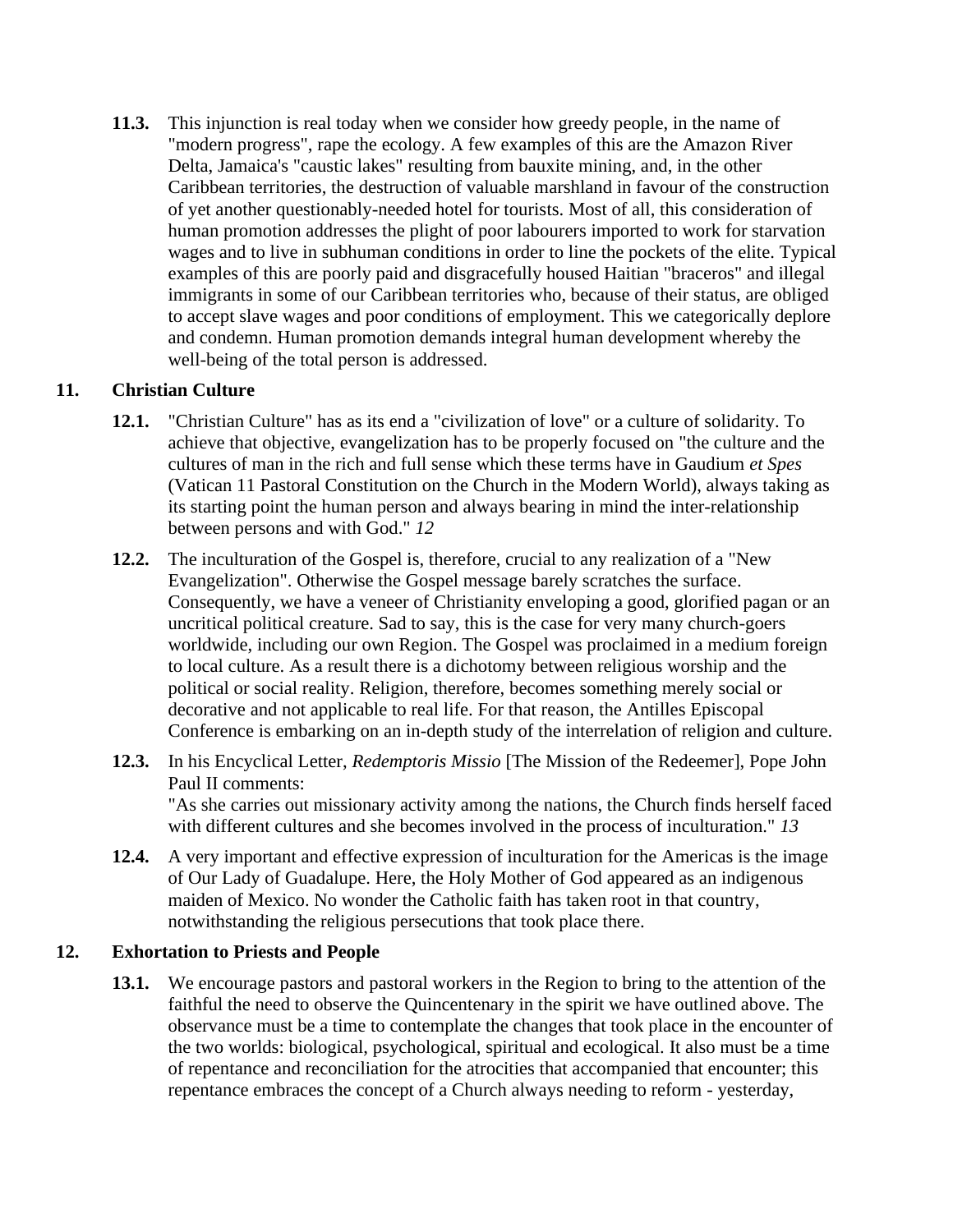**11.3.** This injunction is real today when we consider how greedy people, in the name of "modern progress", rape the ecology. A few examples of this are the Amazon River Delta, Jamaica's "caustic lakes" resulting from bauxite mining, and, in the other Caribbean territories, the destruction of valuable marshland in favour of the construction of yet another questionably-needed hotel for tourists. Most of all, this consideration of human promotion addresses the plight of poor labourers imported to work for starvation wages and to live in subhuman conditions in order to line the pockets of the elite. Typical examples of this are poorly paid and disgracefully housed Haitian "braceros" and illegal immigrants in some of our Caribbean territories who, because of their status, are obliged to accept slave wages and poor conditions of employment. This we categorically deplore and condemn. Human promotion demands integral human development whereby the well-being of the total person is addressed.

### **11. Christian Culture**

- **12.1.** "Christian Culture" has as its end a "civilization of love" or a culture of solidarity. To achieve that objective, evangelization has to be properly focused on "the culture and the cultures of man in the rich and full sense which these terms have in Gaudium *et Spes*  (Vatican 11 Pastoral Constitution on the Church in the Modern World), always taking as its starting point the human person and always bearing in mind the inter-relationship between persons and with God." *12*
- **12.2.** The inculturation of the Gospel is, therefore, crucial to any realization of a "New Evangelization". Otherwise the Gospel message barely scratches the surface. Consequently, we have a veneer of Christianity enveloping a good, glorified pagan or an uncritical political creature. Sad to say, this is the case for very many church-goers worldwide, including our own Region. The Gospel was proclaimed in a medium foreign to local culture. As a result there is a dichotomy between religious worship and the political or social reality. Religion, therefore, becomes something merely social or decorative and not applicable to real life. For that reason, the Antilles Episcopal Conference is embarking on an in-depth study of the interrelation of religion and culture.
- **12.3.** In his Encyclical Letter, *Redemptoris Missio* [The Mission of the Redeemer], Pope John Paul II comments: "As she carries out missionary activity among the nations, the Church finds herself faced with different cultures and she becomes involved in the process of inculturation." *13*
- **12.4.** A very important and effective expression of inculturation for the Americas is the image of Our Lady of Guadalupe. Here, the Holy Mother of God appeared as an indigenous maiden of Mexico. No wonder the Catholic faith has taken root in that country, notwithstanding the religious persecutions that took place there.

#### **12. Exhortation to Priests and People**

**13.1.** We encourage pastors and pastoral workers in the Region to bring to the attention of the faithful the need to observe the Quincentenary in the spirit we have outlined above. The observance must be a time to contemplate the changes that took place in the encounter of the two worlds: biological, psychological, spiritual and ecological. It also must be a time of repentance and reconciliation for the atrocities that accompanied that encounter; this repentance embraces the concept of a Church always needing to reform - yesterday,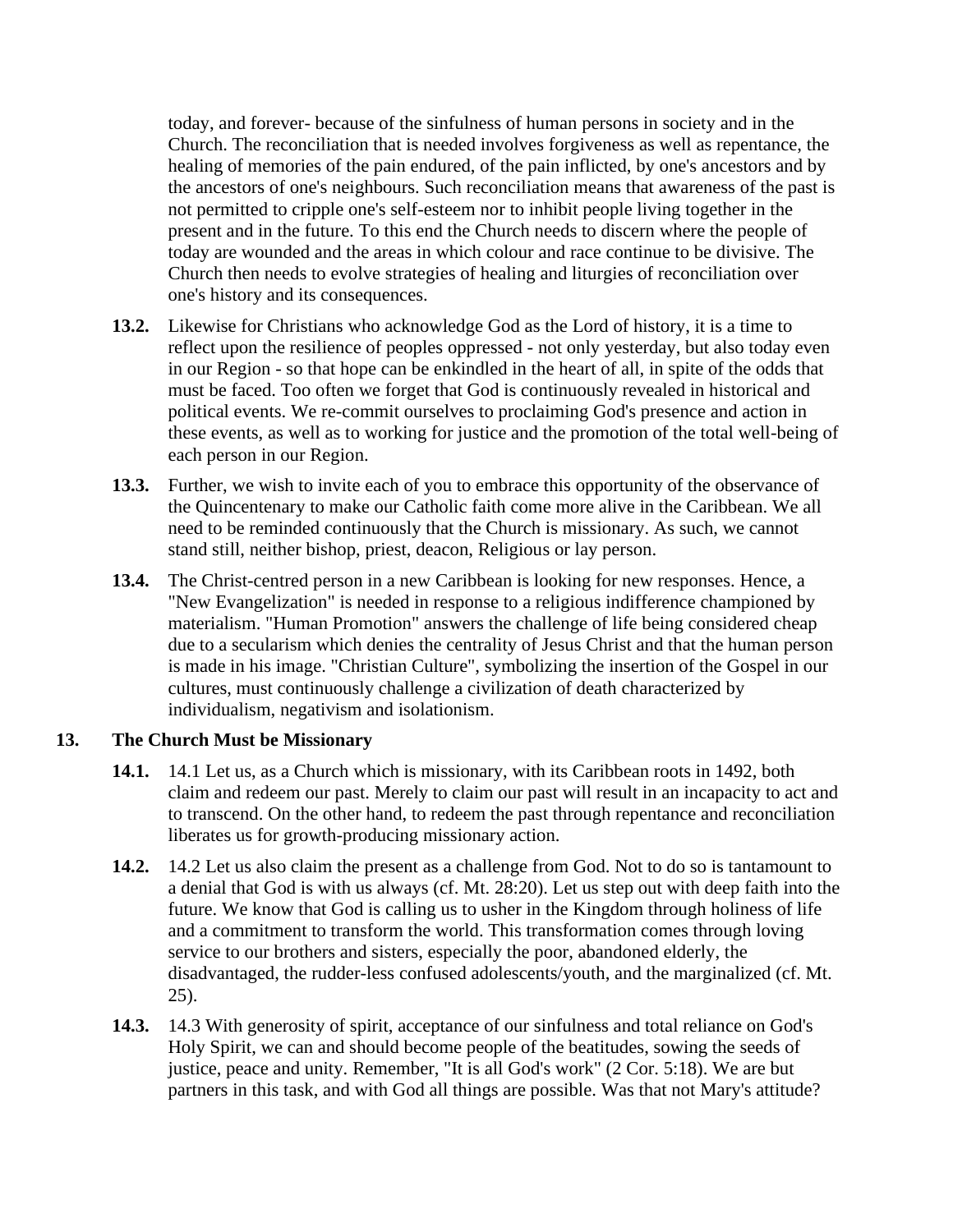today, and forever- because of the sinfulness of human persons in society and in the Church. The reconciliation that is needed involves forgiveness as well as repentance, the healing of memories of the pain endured, of the pain inflicted, by one's ancestors and by the ancestors of one's neighbours. Such reconciliation means that awareness of the past is not permitted to cripple one's self-esteem nor to inhibit people living together in the present and in the future. To this end the Church needs to discern where the people of today are wounded and the areas in which colour and race continue to be divisive. The Church then needs to evolve strategies of healing and liturgies of reconciliation over one's history and its consequences.

- **13.2.** Likewise for Christians who acknowledge God as the Lord of history, it is a time to reflect upon the resilience of peoples oppressed - not only yesterday, but also today even in our Region - so that hope can be enkindled in the heart of all, in spite of the odds that must be faced. Too often we forget that God is continuously revealed in historical and political events. We re-commit ourselves to proclaiming God's presence and action in these events, as well as to working for justice and the promotion of the total well-being of each person in our Region.
- **13.3.** Further, we wish to invite each of you to embrace this opportunity of the observance of the Quincentenary to make our Catholic faith come more alive in the Caribbean. We all need to be reminded continuously that the Church is missionary. As such, we cannot stand still, neither bishop, priest, deacon, Religious or lay person.
- **13.4.** The Christ-centred person in a new Caribbean is looking for new responses. Hence, a "New Evangelization" is needed in response to a religious indifference championed by materialism. "Human Promotion" answers the challenge of life being considered cheap due to a secularism which denies the centrality of Jesus Christ and that the human person is made in his image. "Christian Culture", symbolizing the insertion of the Gospel in our cultures, must continuously challenge a civilization of death characterized by individualism, negativism and isolationism.

### **13. The Church Must be Missionary**

- **14.1.** 14.1 Let us, as a Church which is missionary, with its Caribbean roots in 1492, both claim and redeem our past. Merely to claim our past will result in an incapacity to act and to transcend. On the other hand, to redeem the past through repentance and reconciliation liberates us for growth-producing missionary action.
- **14.2.** 14.2 Let us also claim the present as a challenge from God. Not to do so is tantamount to a denial that God is with us always (cf. Mt. 28:20). Let us step out with deep faith into the future. We know that God is calling us to usher in the Kingdom through holiness of life and a commitment to transform the world. This transformation comes through loving service to our brothers and sisters, especially the poor, abandoned elderly, the disadvantaged, the rudder-less confused adolescents/youth, and the marginalized (cf. Mt. 25).
- **14.3.** 14.3 With generosity of spirit, acceptance of our sinfulness and total reliance on God's Holy Spirit, we can and should become people of the beatitudes, sowing the seeds of justice, peace and unity. Remember, "It is all God's work" (2 Cor. 5:18). We are but partners in this task, and with God all things are possible. Was that not Mary's attitude?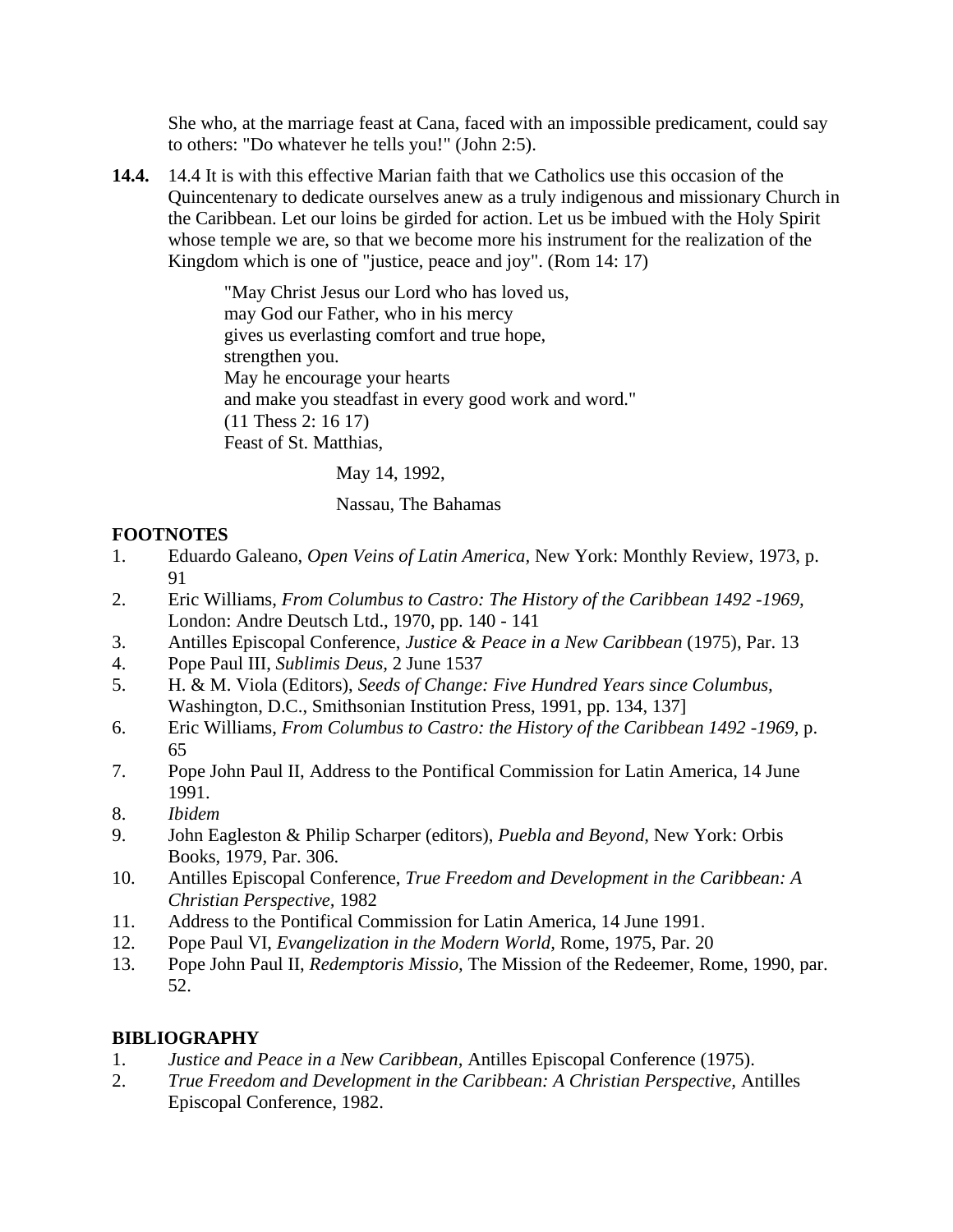She who, at the marriage feast at Cana, faced with an impossible predicament, could say to others: "Do whatever he tells you!" (John 2:5).

**14.4.** 14.4 It is with this effective Marian faith that we Catholics use this occasion of the Quincentenary to dedicate ourselves anew as a truly indigenous and missionary Church in the Caribbean. Let our loins be girded for action. Let us be imbued with the Holy Spirit whose temple we are, so that we become more his instrument for the realization of the Kingdom which is one of "justice, peace and joy". (Rom 14: 17)

> "May Christ Jesus our Lord who has loved us, may God our Father, who in his mercy gives us everlasting comfort and true hope, strengthen you. May he encourage your hearts and make you steadfast in every good work and word." (11 Thess 2: 16 17) Feast of St. Matthias,

> > May 14, 1992,

Nassau, The Bahamas

## **FOOTNOTES**

- 1. Eduardo Galeano, *Open Veins of Latin America,* New York: Monthly Review, 1973, p. 91
- 2. Eric Williams, *From Columbus to Castro: The History of the Caribbean 1492 -1969,* London: Andre Deutsch Ltd., 1970, pp. 140 - 141
- 3. Antilles Episcopal Conference, *Justice & Peace in a New Caribbean* (1975), Par. 13
- 4. Pope Paul III, *Sublimis Deus,* 2 June 1537
- 5. H. & M. Viola (Editors), *Seeds of Change: Five Hundred Years since Columbus,* Washington, D.C., Smithsonian Institution Press, 1991, pp. 134, 137]
- 6. Eric Williams, *From Columbus to Castro: the History of the Caribbean 1492 -1969,* p. 65
- 7. Pope John Paul II, Address to the Pontifical Commission for Latin America, 14 June 1991.
- 8. *Ibidem*
- 9. John Eagleston & Philip Scharper (editors), *Puebla and Beyond,* New York: Orbis Books, 1979, Par. 306.
- 10. Antilles Episcopal Conference, *True Freedom and Development in the Caribbean: A Christian Perspective,* 1982
- 11. Address to the Pontifical Commission for Latin America, 14 June 1991.
- 12. Pope Paul VI, *Evangelization in the Modern World,* Rome, 1975, Par. 20
- 13. Pope John Paul II, *Redemptoris Missio,* The Mission of the Redeemer, Rome, 1990, par. 52.

# **BIBLIOGRAPHY**

- 1. *Justice and Peace in a New Caribbean,* Antilles Episcopal Conference (1975).
- 2. *True Freedom and Development in the Caribbean: A Christian Perspective,* Antilles Episcopal Conference, 1982.